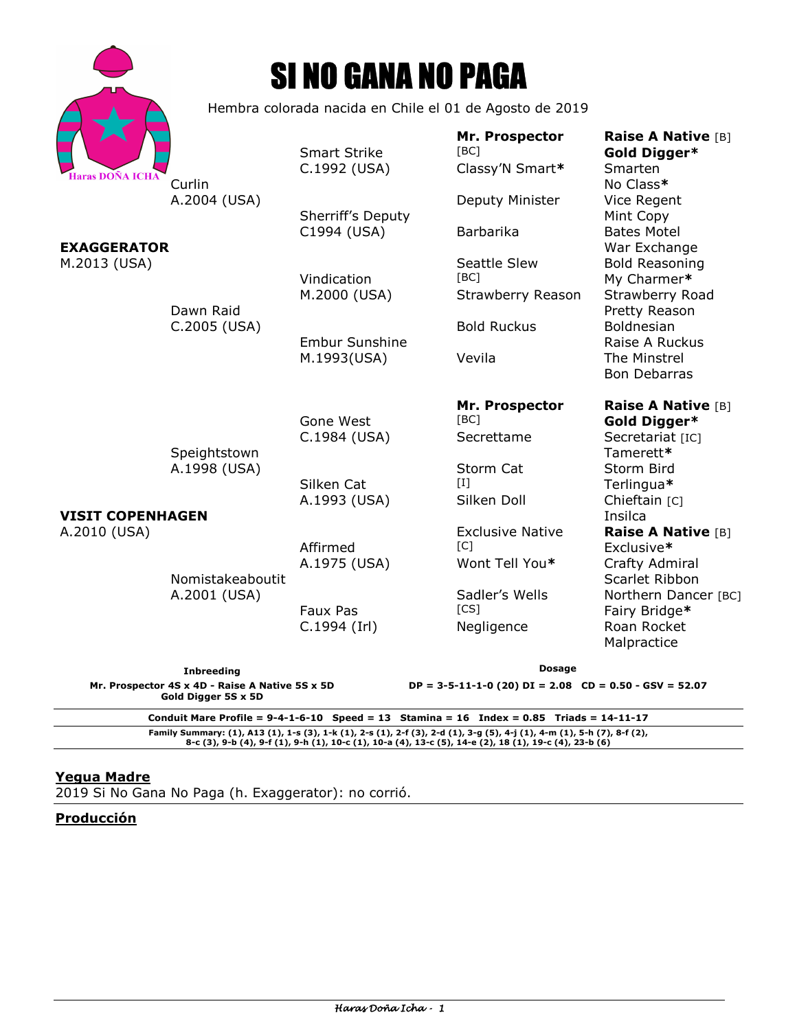|                                         |                                                         | <b>SI NO GANA NO PAGA</b>           |                                           |                                                                            |
|-----------------------------------------|---------------------------------------------------------|-------------------------------------|-------------------------------------------|----------------------------------------------------------------------------|
|                                         | Hembra colorada nacida en Chile el 01 de Agosto de 2019 |                                     |                                           |                                                                            |
| Haras DOÑA ICHA                         | Curlin                                                  | <b>Smart Strike</b><br>C.1992 (USA) | Mr. Prospector<br>[BC]<br>Classy'N Smart* | <b>Raise A Native [B]</b><br>Gold Digger*<br>Smarten<br>No Class*          |
| <b>EXAGGERATOR</b><br>M.2013 (USA)      | A.2004 (USA)                                            | Sherriff's Deputy<br>C1994 (USA)    | Deputy Minister<br>Barbarika              | Vice Regent<br>Mint Copy<br><b>Bates Motel</b>                             |
|                                         | Dawn Raid<br>C.2005 (USA)                               | Vindication<br>M.2000 (USA)         | Seattle Slew<br>[BC]<br>Strawberry Reason | War Exchange<br><b>Bold Reasoning</b><br>My Charmer*<br>Strawberry Road    |
|                                         |                                                         | <b>Embur Sunshine</b>               | <b>Bold Ruckus</b>                        | Pretty Reason<br>Boldnesian<br>Raise A Ruckus                              |
|                                         |                                                         | M.1993(USA)                         | Vevila                                    | The Minstrel<br><b>Bon Debarras</b>                                        |
|                                         | Speightstown<br>A.1998 (USA)                            | Gone West<br>C.1984 (USA)           | Mr. Prospector<br>[BC]<br>Secrettame      | <b>Raise A Native [B]</b><br>Gold Digger*<br>Secretariat [IC]<br>Tamerett* |
|                                         |                                                         | Silken Cat<br>A.1993 (USA)          | Storm Cat<br>$[1]$<br>Silken Doll         | Storm Bird<br>Terlingua*<br>Chieftain [C]                                  |
| <b>VISIT COPENHAGEN</b><br>A.2010 (USA) |                                                         |                                     | <b>Exclusive Native</b>                   | Insilca<br>Raise A Native [B]                                              |
|                                         | Nomistakeaboutit<br>A.2001 (USA)                        | Affirmed<br>A.1975 (USA)            | [C]<br>Wont Tell You*                     | Exclusive*<br>Crafty Admiral<br>Scarlet Ribbon                             |
|                                         |                                                         | Faux Pas<br>C.1994 (Irl)            | Sadler's Wells<br>[CS]<br>Negligence      | Northern Dancer [BC]<br>Fairy Bridge*<br>Roan Rocket<br>Malpractice        |
| The late of a state.                    |                                                         |                                     | Dosage                                    |                                                                            |

**Inbreeding Mr. Prospector 4S x 4D - Raise A Native 5S x 5D Gold Digger 5S x 5D** 

**Dosage** 

**DP = 3-5-11-1-0 (20) DI = 2.08 CD = 0.50 - GSV = 52.07** 

**Conduit Mare Profile = 9-4-1-6-10 Speed = 13 Stamina = 16 Index = 0.85 Triads = 14-11-17**  Family Summary: (1), A13 (1), 1-s (3), 1-k (1), 2-s (1), 2-f (3), 2-d (1), 3-g (5), 4-j (1), 4-m (1), 5-h (7), 8-f (2),<br>8-c (3), 9-b (4), 9-f (1), 9-h (1), 10-c (1), 10-a (4), 13-c (5), 14-e (2), 18 (1), 19-c (4), 23-b (6)

#### **Yegua Madre**

Haras Doña Icha

2019 Si No Gana No Paga (h. Exaggerator): no corrió.

**Producción**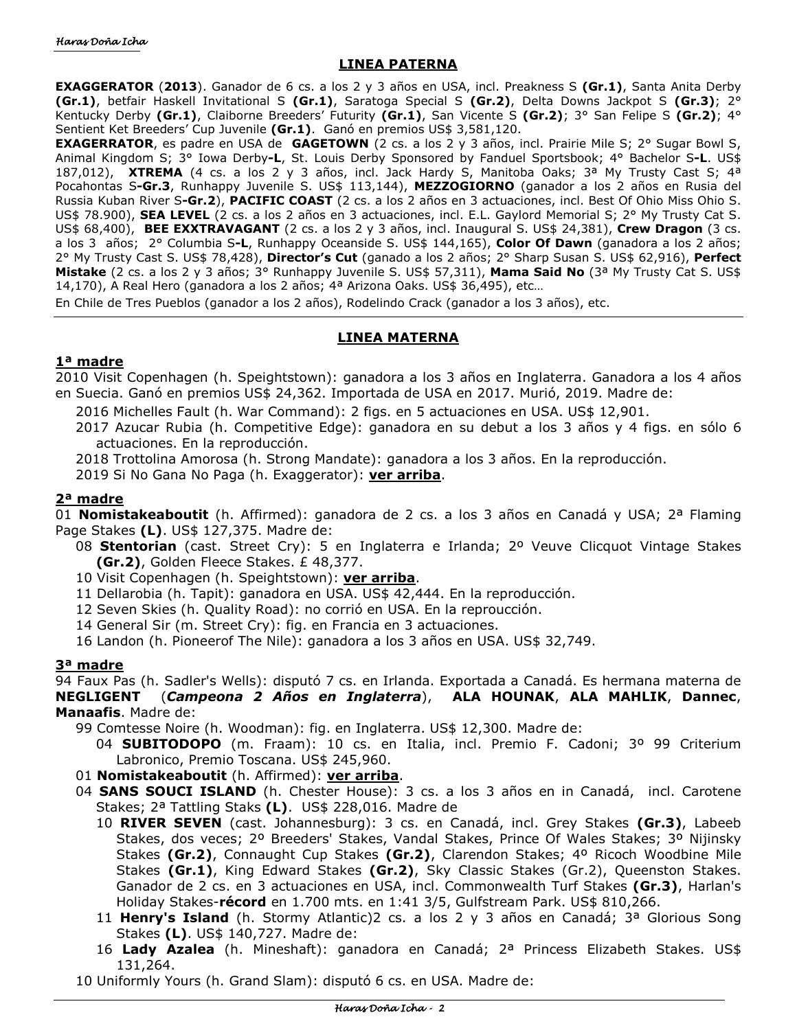# **LINEA PATERNA**

**EXAGGERATOR** (**2013**). Ganador de 6 cs. a los 2 y 3 años en USA, incl. Preakness S **(Gr.1)**, Santa Anita Derby **(Gr.1)**, betfair Haskell Invitational S **(Gr.1)**, Saratoga Special S **(Gr.2)**, Delta Downs Jackpot S **(Gr.3)**; 2° Kentucky Derby **(Gr.1)**, Claiborne Breeders' Futurity **(Gr.1)**, San Vicente S **(Gr.2)**; 3° San Felipe S **(Gr.2)**; 4° Sentient Ket Breeders' Cup Juvenile **(Gr.1)**. Ganó en premios US\$ 3,581,120.

**EXAGERRATOR**, es padre en USA de **GAGETOWN** (2 cs. a los 2 y 3 años, incl. Prairie Mile S; 2° Sugar Bowl S, Animal Kingdom S; 3° Iowa Derby**-L**, St. Louis Derby Sponsored by Fanduel Sportsbook; 4° Bachelor S**-L**. US\$ 187,012), **XTREMA** (4 cs. a los 2 y 3 años, incl. Jack Hardy S, Manitoba Oaks; 3ª My Trusty Cast S; 4ª Pocahontas S**-Gr.3**, Runhappy Juvenile S. US\$ 113,144), **MEZZOGIORNO** (ganador a los 2 años en Rusia del Russia Kuban River S**-Gr.2**), **PACIFIC COAST** (2 cs. a los 2 años en 3 actuaciones, incl. Best Of Ohio Miss Ohio S. US\$ 78.900), **SEA LEVEL** (2 cs. a los 2 años en 3 actuaciones, incl. E.L. Gaylord Memorial S; 2° My Trusty Cat S. US\$ 68,400), **BEE EXXTRAVAGANT** (2 cs. a los 2 y 3 años, incl. Inaugural S. US\$ 24,381), **Crew Dragon** (3 cs. a los 3 años; 2° Columbia S**-L**, Runhappy Oceanside S. US\$ 144,165), **Color Of Dawn** (ganadora a los 2 años; 2° My Trusty Cast S. US\$ 78,428), **Director's Cut** (ganado a los 2 años; 2° Sharp Susan S. US\$ 62,916), **Perfect Mistake** (2 cs. a los 2 y 3 años; 3° Runhappy Juvenile S. US\$ 57,311), **Mama Said No** (3ª My Trusty Cat S. US\$ 14,170), A Real Hero (ganadora a los 2 años; 4ª Arizona Oaks. US\$ 36,495), etc...

En Chile de Tres Pueblos (ganador a los 2 años), Rodelindo Crack (ganador a los 3 años), etc.

## **LINEA MATERNA**

## **1ª madre**

2010 Visit Copenhagen (h. Speightstown): ganadora a los 3 años en Inglaterra. Ganadora a los 4 años en Suecia. Ganó en premios US\$ 24,362. Importada de USA en 2017. Murió, 2019. Madre de:

2016 Michelles Fault (h. War Command): 2 figs. en 5 actuaciones en USA. US\$ 12,901.

2017 Azucar Rubia (h. Competitive Edge): ganadora en su debut a los 3 años y 4 figs. en sólo 6 actuaciones. En la reproducción.

2018 Trottolina Amorosa (h. Strong Mandate): ganadora a los 3 años. En la reproducción.

2019 Si No Gana No Paga (h. Exaggerator): **ver arriba**.

## **2ª madre**

01 **Nomistakeaboutit** (h. Affirmed): ganadora de 2 cs. a los 3 años en Canadá y USA; 2ª Flaming Page Stakes **(L)**. US\$ 127,375. Madre de:

- 08 **Stentorian** (cast. Street Cry): 5 en Inglaterra e Irlanda; 2º Veuve Clicquot Vintage Stakes **(Gr.2)**, Golden Fleece Stakes. £ 48,377.
- 10 Visit Copenhagen (h. Speightstown): **ver arriba**.
- 11 Dellarobia (h. Tapit): ganadora en USA. US\$ 42,444. En la reproducción.
- 12 Seven Skies (h. Quality Road): no corrió en USA. En la reproucción.
- 14 General Sir (m. Street Cry): fig. en Francia en 3 actuaciones.

16 Landon (h. Pioneerof The Nile): ganadora a los 3 años en USA. US\$ 32,749.

#### **3ª madre**

94 Faux Pas (h. Sadler's Wells): disputó 7 cs. en Irlanda. Exportada a Canadá. Es hermana materna de **NEGLIGENT** (*Campeona 2 Años en Inglaterra*), **ALA HOUNAK**, **ALA MAHLIK**, **Dannec**, **Manaafis**. Madre de:

99 Comtesse Noire (h. Woodman): fig. en Inglaterra. US\$ 12,300. Madre de:

- 04 **SUBITODOPO** (m. Fraam): 10 cs. en Italia, incl. Premio F. Cadoni; 3º 99 Criterium Labronico, Premio Toscana. US\$ 245,960.
- 01 **Nomistakeaboutit** (h. Affirmed): **ver arriba**.
- 04 **SANS SOUCI ISLAND** (h. Chester House): 3 cs. a los 3 años en in Canadá, incl. Carotene Stakes; 2ª Tattling Staks **(L)**. US\$ 228,016. Madre de
	- 10 **RIVER SEVEN** (cast. Johannesburg): 3 cs. en Canadá, incl. Grey Stakes **(Gr.3)**, Labeeb Stakes, dos veces; 2º Breeders' Stakes, Vandal Stakes, Prince Of Wales Stakes; 3º Nijinsky Stakes **(Gr.2)**, Connaught Cup Stakes **(Gr.2)**, Clarendon Stakes; 4º Ricoch Woodbine Mile Stakes **(Gr.1)**, King Edward Stakes **(Gr.2)**, Sky Classic Stakes (Gr.2), Queenston Stakes. Ganador de 2 cs. en 3 actuaciones en USA, incl. Commonwealth Turf Stakes **(Gr.3)**, Harlan's Holiday Stakes-**récord** en 1.700 mts. en 1:41 3/5, Gulfstream Park. US\$ 810,266.
	- 11 **Henry's Island** (h. Stormy Atlantic)2 cs. a los 2 y 3 años en Canadá; 3ª Glorious Song Stakes **(L)**. US\$ 140,727. Madre de:
	- 16 **Lady Azalea** (h. Mineshaft): ganadora en Canadá; 2ª Princess Elizabeth Stakes. US\$ 131,264.
- 10 Uniformly Yours (h. Grand Slam): disputó 6 cs. en USA. Madre de: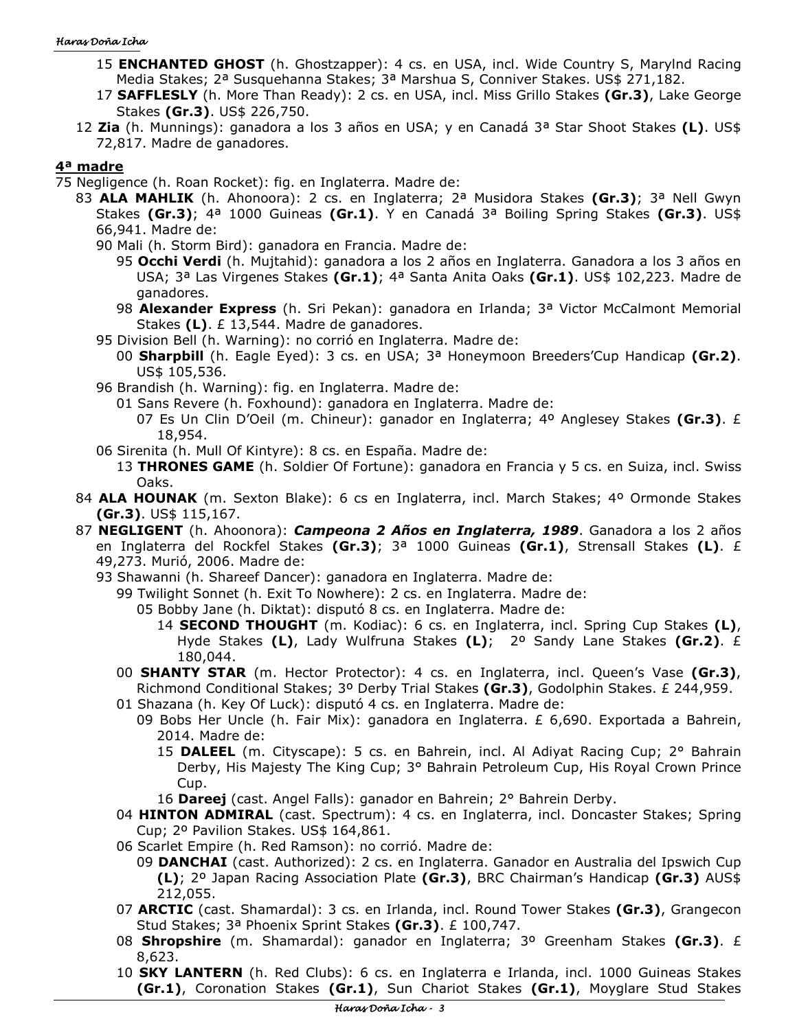#### Haras Doña Icha

- 15 **ENCHANTED GHOST** (h. Ghostzapper): 4 cs. en USA, incl. Wide Country S, Marylnd Racing Media Stakes; 2ª Susquehanna Stakes; 3ª Marshua S, Conniver Stakes. US\$ 271,182.
- 17 **SAFFLESLY** (h. More Than Ready): 2 cs. en USA, incl. Miss Grillo Stakes **(Gr.3)**, Lake George Stakes **(Gr.3)**. US\$ 226,750.
- 12 **Zia** (h. Munnings): ganadora a los 3 años en USA; y en Canadá 3ª Star Shoot Stakes **(L)**. US\$ 72,817. Madre de ganadores.

# **4ª madre**

- 75 Negligence (h. Roan Rocket): fig. en Inglaterra. Madre de:
	- 83 **ALA MAHLIK** (h. Ahonoora): 2 cs. en Inglaterra; 2ª Musidora Stakes **(Gr.3)**; 3ª Nell Gwyn Stakes **(Gr.3)**; 4ª 1000 Guineas **(Gr.1)**. Y en Canadá 3ª Boiling Spring Stakes **(Gr.3)**. US\$ 66,941. Madre de:
		- 90 Mali (h. Storm Bird): ganadora en Francia. Madre de:
			- 95 **Occhi Verdi** (h. Mujtahid): ganadora a los 2 años en Inglaterra. Ganadora a los 3 años en USA; 3ª Las Virgenes Stakes **(Gr.1)**; 4ª Santa Anita Oaks **(Gr.1)**. US\$ 102,223. Madre de ganadores.
			- 98 **Alexander Express** (h. Sri Pekan): ganadora en Irlanda; 3ª Victor McCalmont Memorial Stakes **(L)**. £ 13,544. Madre de ganadores.
		- 95 Division Bell (h. Warning): no corrió en Inglaterra. Madre de:
			- 00 **Sharpbill** (h. Eagle Eyed): 3 cs. en USA; 3ª Honeymoon Breeders'Cup Handicap **(Gr.2)**. US\$ 105,536.
		- 96 Brandish (h. Warning): fig. en Inglaterra. Madre de:
			- 01 Sans Revere (h. Foxhound): ganadora en Inglaterra. Madre de:
				- 07 Es Un Clin D'Oeil (m. Chineur): ganador en Inglaterra; 4º Anglesey Stakes **(Gr.3)**. £ 18,954.
		- 06 Sirenita (h. Mull Of Kintyre): 8 cs. en España. Madre de:
			- 13 **THRONES GAME** (h. Soldier Of Fortune): ganadora en Francia y 5 cs. en Suiza, incl. Swiss Oaks.
	- 84 **ALA HOUNAK** (m. Sexton Blake): 6 cs en Inglaterra, incl. March Stakes; 4º Ormonde Stakes **(Gr.3)**. US\$ 115,167.
	- 87 **NEGLIGENT** (h. Ahoonora): *Campeona 2 Años en Inglaterra, 1989*. Ganadora a los 2 años en Inglaterra del Rockfel Stakes **(Gr.3)**; 3ª 1000 Guineas **(Gr.1)**, Strensall Stakes **(L)**. £ 49,273. Murió, 2006. Madre de:
		- 93 Shawanni (h. Shareef Dancer): ganadora en Inglaterra. Madre de:
			- 99 Twilight Sonnet (h. Exit To Nowhere): 2 cs. en Inglaterra. Madre de:
				- 05 Bobby Jane (h. Diktat): disputó 8 cs. en Inglaterra. Madre de:
					- 14 **SECOND THOUGHT** (m. Kodiac): 6 cs. en Inglaterra, incl. Spring Cup Stakes **(L)**, Hyde Stakes **(L)**, Lady Wulfruna Stakes **(L)**; 2º Sandy Lane Stakes **(Gr.2)**. £ 180,044.
			- 00 **SHANTY STAR** (m. Hector Protector): 4 cs. en Inglaterra, incl. Queen's Vase **(Gr.3)**, Richmond Conditional Stakes; 3º Derby Trial Stakes **(Gr.3)**, Godolphin Stakes. £ 244,959.
			- 01 Shazana (h. Key Of Luck): disputó 4 cs. en Inglaterra. Madre de:
				- 09 Bobs Her Uncle (h. Fair Mix): ganadora en Inglaterra. £ 6,690. Exportada a Bahrein, 2014. Madre de:
					- 15 **DALEEL** (m. Cityscape): 5 cs. en Bahrein, incl. Al Adiyat Racing Cup; 2° Bahrain Derby, His Majesty The King Cup; 3° Bahrain Petroleum Cup, His Royal Crown Prince Cup.
					- 16 **Dareej** (cast. Angel Falls): ganador en Bahrein; 2° Bahrein Derby.
			- 04 HINTON ADMIRAL (cast. Spectrum): 4 cs. en Inglaterra, incl. Doncaster Stakes; Spring Cup; 2º Pavilion Stakes. US\$ 164,861.
			- 06 Scarlet Empire (h. Red Ramson): no corrió. Madre de:
				- 09 **DANCHAI** (cast. Authorized): 2 cs. en Inglaterra. Ganador en Australia del Ipswich Cup **(L)**; 2º Japan Racing Association Plate **(Gr.3)**, BRC Chairman's Handicap **(Gr.3)** AUS\$ 212,055.
			- 07 **ARCTIC** (cast. Shamardal): 3 cs. en Irlanda, incl. Round Tower Stakes **(Gr.3)**, Grangecon Stud Stakes; 3ª Phoenix Sprint Stakes **(Gr.3)**. £ 100,747.
			- 08 **Shropshire** (m. Shamardal): ganador en Inglaterra; 3º Greenham Stakes **(Gr.3)**. £ 8,623.
			- 10 **SKY LANTERN** (h. Red Clubs): 6 cs. en Inglaterra e Irlanda, incl. 1000 Guineas Stakes **(Gr.1)**, Coronation Stakes **(Gr.1)**, Sun Chariot Stakes **(Gr.1)**, Moyglare Stud Stakes